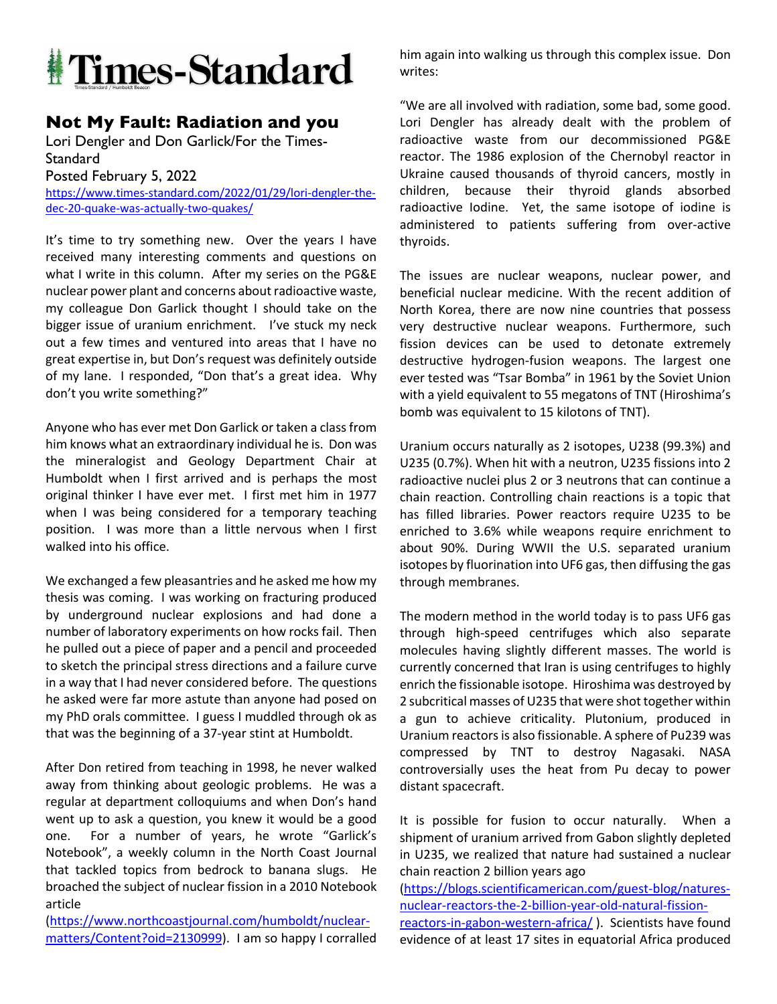

## **Not My Fault: Radiation and you**

Lori Dengler and Don Garlick/For the Times-**Standard** 

Posted February 5, 2022

https://www.times-standard.com/2022/01/29/lori-dengler-thedec-20-quake-was-actually-two-quakes/

It's time to try something new. Over the years I have received many interesting comments and questions on what I write in this column. After my series on the PG&E nuclear power plant and concerns about radioactive waste, my colleague Don Garlick thought I should take on the bigger issue of uranium enrichment. I've stuck my neck out a few times and ventured into areas that I have no great expertise in, but Don's request was definitely outside of my lane. I responded, "Don that's a great idea. Why don't you write something?"

Anyone who has ever met Don Garlick or taken a class from him knows what an extraordinary individual he is. Don was the mineralogist and Geology Department Chair at Humboldt when I first arrived and is perhaps the most original thinker I have ever met. I first met him in 1977 when I was being considered for a temporary teaching position. I was more than a little nervous when I first walked into his office.

We exchanged a few pleasantries and he asked me how my thesis was coming. I was working on fracturing produced by underground nuclear explosions and had done a number of laboratory experiments on how rocks fail. Then he pulled out a piece of paper and a pencil and proceeded to sketch the principal stress directions and a failure curve in a way that I had never considered before. The questions he asked were far more astute than anyone had posed on my PhD orals committee. I guess I muddled through ok as that was the beginning of a 37-year stint at Humboldt.

After Don retired from teaching in 1998, he never walked away from thinking about geologic problems. He was a regular at department colloquiums and when Don's hand went up to ask a question, you knew it would be a good one. For a number of years, he wrote "Garlick's Notebook", a weekly column in the North Coast Journal that tackled topics from bedrock to banana slugs. He broached the subject of nuclear fission in a 2010 Notebook article

(https://www.northcoastjournal.com/humboldt/nuclearmatters/Content?oid=2130999). I am so happy I corralled him again into walking us through this complex issue. Don writes:

"We are all involved with radiation, some bad, some good. Lori Dengler has already dealt with the problem of radioactive waste from our decommissioned PG&E reactor. The 1986 explosion of the Chernobyl reactor in Ukraine caused thousands of thyroid cancers, mostly in children, because their thyroid glands absorbed radioactive Iodine. Yet, the same isotope of iodine is administered to patients suffering from over-active thyroids.

The issues are nuclear weapons, nuclear power, and beneficial nuclear medicine. With the recent addition of North Korea, there are now nine countries that possess very destructive nuclear weapons. Furthermore, such fission devices can be used to detonate extremely destructive hydrogen-fusion weapons. The largest one ever tested was "Tsar Bomba" in 1961 by the Soviet Union with a yield equivalent to 55 megatons of TNT (Hiroshima's bomb was equivalent to 15 kilotons of TNT).

Uranium occurs naturally as 2 isotopes, U238 (99.3%) and U235 (0.7%). When hit with a neutron, U235 fissions into 2 radioactive nuclei plus 2 or 3 neutrons that can continue a chain reaction. Controlling chain reactions is a topic that has filled libraries. Power reactors require U235 to be enriched to 3.6% while weapons require enrichment to about 90%. During WWII the U.S. separated uranium isotopes by fluorination into UF6 gas, then diffusing the gas through membranes.

The modern method in the world today is to pass UF6 gas through high-speed centrifuges which also separate molecules having slightly different masses. The world is currently concerned that Iran is using centrifuges to highly enrich the fissionable isotope. Hiroshima was destroyed by 2 subcritical masses of U235 that were shot together within a gun to achieve criticality. Plutonium, produced in Uranium reactors is also fissionable. A sphere of Pu239 was compressed by TNT to destroy Nagasaki. NASA controversially uses the heat from Pu decay to power distant spacecraft.

It is possible for fusion to occur naturally. When a shipment of uranium arrived from Gabon slightly depleted in U235, we realized that nature had sustained a nuclear chain reaction 2 billion years ago

(https://blogs.scientificamerican.com/guest-blog/naturesnuclear-reactors-the-2-billion-year-old-natural-fission-

reactors-in-gabon-western-africa/ ). Scientists have found evidence of at least 17 sites in equatorial Africa produced